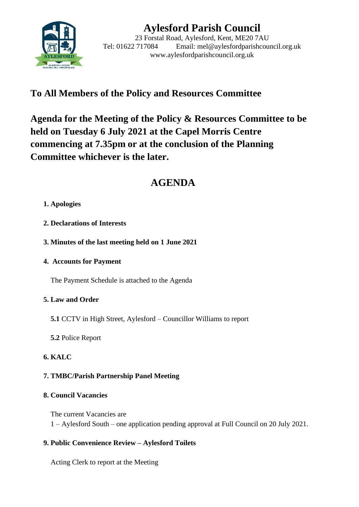

# **Aylesford Parish Council**

23 Forstal Road, Aylesford, Kent, ME20 7AU Tel: 01622 717084 Email: mel@aylesfordparishcouncil.org.uk www.aylesfordparishcouncil.org.uk

## **To All Members of the Policy and Resources Committee**

**Agenda for the Meeting of the Policy & Resources Committee to be held on Tuesday 6 July 2021 at the Capel Morris Centre commencing at 7.35pm or at the conclusion of the Planning Committee whichever is the later.**

## **AGENDA**

## **1. Apologies**

- **2. Declarations of Interests**
- **3. Minutes of the last meeting held on 1 June 2021**
- **4. Accounts for Payment**

The Payment Schedule is attached to the Agenda

## **5. Law and Order**

- **5.1** CCTV in High Street, Aylesford Councillor Williams to report
- **5.2** Police Report

## **6. KALC**

## **7. TMBC/Parish Partnership Panel Meeting**

## **8. Council Vacancies**

The current Vacancies are 1 – Aylesford South – one application pending approval at Full Council on 20 July 2021.

## **9. Public Convenience Review – Aylesford Toilets**

Acting Clerk to report at the Meeting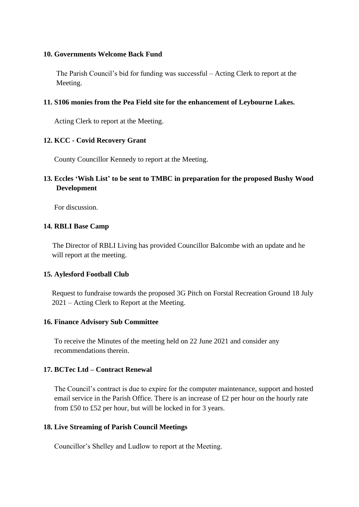#### **10. Governments Welcome Back Fund**

The Parish Council's bid for funding was successful – Acting Clerk to report at the Meeting.

#### **11. S106 monies from the Pea Field site for the enhancement of Leybourne Lakes.**

Acting Clerk to report at the Meeting.

#### **12. KCC - Covid Recovery Grant**

County Councillor Kennedy to report at the Meeting.

## **13. Eccles 'Wish List' to be sent to TMBC in preparation for the proposed Bushy Wood Development**

For discussion.

#### **14. RBLI Base Camp**

 The Director of RBLI Living has provided Councillor Balcombe with an update and he will report at the meeting.

#### **15. Aylesford Football Club**

Request to fundraise towards the proposed 3G Pitch on Forstal Recreation Ground 18 July 2021 – Acting Clerk to Report at the Meeting.

#### **16. Finance Advisory Sub Committee**

To receive the Minutes of the meeting held on 22 June 2021 and consider any recommendations therein.

#### **17. BCTec Ltd – Contract Renewal**

The Council's contract is due to expire for the computer maintenance, support and hosted email service in the Parish Office. There is an increase of £2 per hour on the hourly rate from £50 to £52 per hour, but will be locked in for 3 years.

#### **18. Live Streaming of Parish Council Meetings**

Councillor's Shelley and Ludlow to report at the Meeting.